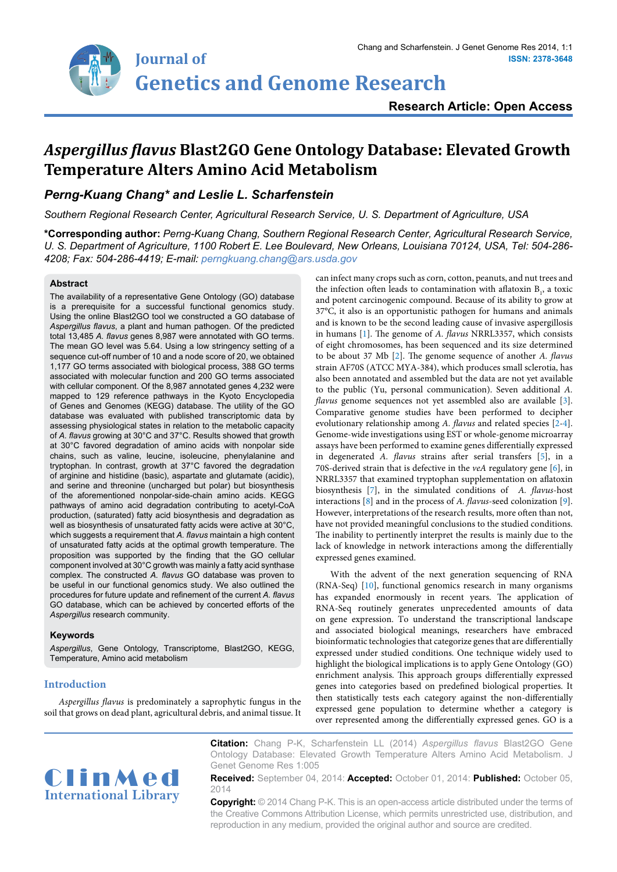# **Research Article: Open Access**

# *Aspergillus flavus* **Blast2GO Gene Ontology Database: Elevated Growth Temperature Alters Amino Acid Metabolism**

## *Perng-Kuang Chang\* and Leslie L. Scharfenstein*

*Southern Regional Research Center, Agricultural Research Service, U. S. Department of Agriculture, USA*

**\*Corresponding author:** *Perng-Kuang Chang, Southern Regional Research Center, Agricultural Research Service, U. S. Department of Agriculture, 1100 Robert E. Lee Boulevard, New Orleans, Louisiana 70124, USA, Tel: 504-286- 4208; Fax: 504-286-4419; E-mail: perngkuang.chang@ars.usda.gov*

#### **Abstract**

The availability of a representative Gene Ontology (GO) database is a prerequisite for a successful functional genomics study. Using the online Blast2GO tool we constructed a GO database of *Aspergillus flavus*, a plant and human pathogen. Of the predicted total 13,485 *A. flavus* genes 8,987 were annotated with GO terms. The mean GO level was 5.64. Using a low stringency setting of a sequence cut-off number of 10 and a node score of 20, we obtained 1,177 GO terms associated with biological process, 388 GO terms associated with molecular function and 200 GO terms associated with cellular component. Of the 8,987 annotated genes 4,232 were mapped to 129 reference pathways in the Kyoto Encyclopedia of Genes and Genomes (KEGG) database. The utility of the GO database was evaluated with published transcriptomic data by assessing physiological states in relation to the metabolic capacity of *A. flavus* growing at 30°C and 37°C. Results showed that growth at 30°C favored degradation of amino acids with nonpolar side chains, such as valine, leucine, isoleucine, phenylalanine and tryptophan. In contrast, growth at 37°C favored the degradation of arginine and histidine (basic), aspartate and glutamate (acidic), and serine and threonine (uncharged but polar) but biosynthesis of the aforementioned nonpolar-side-chain amino acids. KEGG pathways of amino acid degradation contributing to acetyl-CoA production, (saturated) fatty acid biosynthesis and degradation as well as biosynthesis of unsaturated fatty acids were active at 30°C, which suggests a requirement that *A. flavus* maintain a high content of unsaturated fatty acids at the optimal growth temperature. The proposition was supported by the finding that the GO cellular component involved at 30°C growth was mainly a fatty acid synthase complex. The constructed *A. flavus* GO database was proven to be useful in our functional genomics study. We also outlined the procedures for future update and refinement of the current *A. flavus* GO database, which can be achieved by concerted efforts of the *Aspergillus* research community.

## **Keywords**

*Aspergillus*, Gene Ontology, Transcriptome, Blast2GO, KEGG, Temperature, Amino acid metabolism

## **Introduction**

*Aspergillus flavus* is predominately a saprophytic fungus in the soil that grows on dead plant, agricultural debris, and animal tissue. It

can infect many crops such as corn, cotton, peanuts, and nut trees and the infection often leads to contamination with aflatoxin  $B_1$ , a toxic and potent carcinogenic compound. Because of its ability to grow at 37°C, it also is an opportunistic pathogen for humans and animals and is known to be the second leading cause of invasive aspergillosis in humans [[1](#page-4-0)]. The genome of *A. flavus* NRRL3357, which consists of eight chromosomes, has been sequenced and its size determined to be about 37 Mb [\[2\]](#page-4-1). The genome sequence of another *A. flavus* strain AF70S (ATCC MYA-384), which produces small sclerotia, has also been annotated and assembled but the data are not yet available to the public (Yu, personal communication). Seven additional *A. flavus* genome sequences not yet assembled also are available [\[3\]](#page-4-2). Comparative genome studies have been performed to decipher evolutionary relationship among *A. flavus* and related species [[2](#page-4-1)[-4\]](#page-4-3). Genome-wide investigations using EST or whole-genome microarray assays have been performed to examine genes differentially expressed in degenerated *A. flavus* strains after serial transfers [\[5\]](#page-4-4), in a 70S-derived strain that is defective in the *veA* regulatory gene [[6\]](#page-4-5), in NRRL3357 that examined tryptophan supplementation on aflatoxin biosynthesis [[7](#page-4-6)], in the simulated conditions of *A. flavus*-host interactions [\[8](#page-4-7)] and in the process of *A. flavus*-seed colonization [\[9\]](#page-4-8). However, interpretations of the research results, more often than not, have not provided meaningful conclusions to the studied conditions. The inability to pertinently interpret the results is mainly due to the lack of knowledge in network interactions among the differentially expressed genes examined.

With the advent of the next generation sequencing of RNA (RNA-Seq) [[10](#page-4-9)], functional genomics research in many organisms has expanded enormously in recent years. The application of RNA-Seq routinely generates unprecedented amounts of data on gene expression. To understand the transcriptional landscape and associated biological meanings, researchers have embraced bioinformatic technologies that categorize genes that are differentially expressed under studied conditions. One technique widely used to highlight the biological implications is to apply Gene Ontology (GO) enrichment analysis. This approach groups differentially expressed genes into categories based on predefined biological properties. It then statistically tests each category against the non-differentially expressed gene population to determine whether a category is over represented among the differentially expressed genes. GO is a



**Citation:** Chang P-K, Scharfenstein LL (2014) *Aspergillus flavus* Blast2GO Gene Ontology Database: Elevated Growth Temperature Alters Amino Acid Metabolism. J Genet Genome Res 1:005

**Received:** September 04, 2014: **Accepted:** October 01, 2014: **Published:** October 05, 2014

**Copyright:** © 2014 Chang P-K. This is an open-access article distributed under the terms of the Creative Commons Attribution License, which permits unrestricted use, distribution, and reproduction in any medium, provided the original author and source are credited.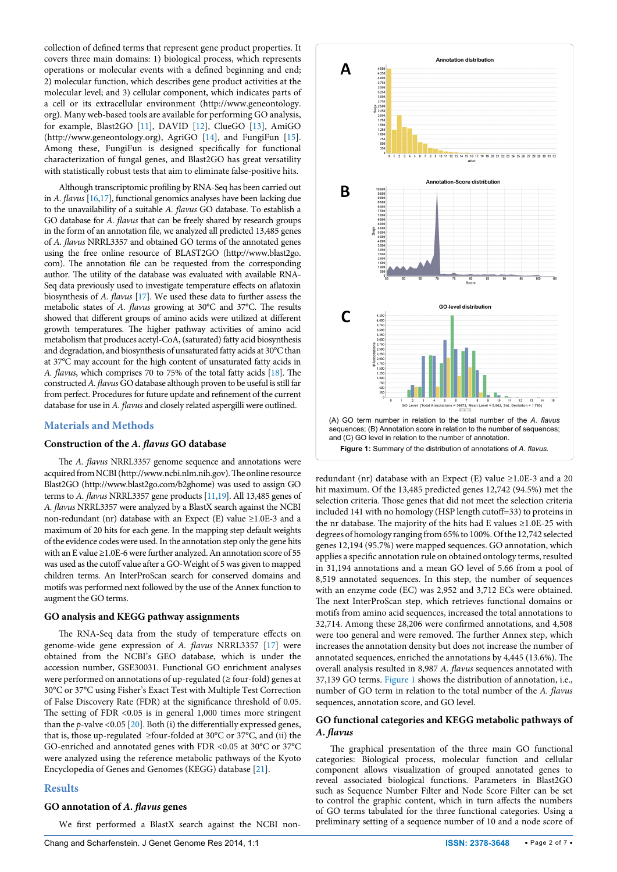collection of defined terms that represent [gene product](http://en.wikipedia.org/wiki/Gene_product) properties. It covers three main domains: 1) biological process, which represents operations or molecular events with a defined beginning and end; 2) molecular function, which describes gene product activities at the molecular level; and 3) cellular component, which indicates parts of a cell or its extracellular environment [\(http://www.geneontology.](http://www.geneontology.org) [org\)](http://www.geneontology.org). Many web-based tools are available for performing GO analysis, for example, Blast2GO [\[11\]](#page-4-10), DAVID [[12\]](#page-4-11), ClueGO [[13](#page-4-12)], AmiGO (<http://www.geneontology.org>), AgriGO [\[14\]](#page-4-13), and FungiFun [[15](#page-4-14)]. Among these, FungiFun is designed specifically for functional characterization of fungal genes, and Blast2GO has great versatility with statistically robust tests that aim to eliminate false-positive hits.

Although transcriptomic profiling by RNA-Seq has been carried out in *A. flavus* [\[16,](#page-4-15)[17\]](#page-4-16), functional genomics analyses have been lacking due to the unavailability of a suitable *A. flavus* GO database. To establish a GO database for *A. flavus* that can be freely shared by research groups in the form of an annotation file, we analyzed all predicted 13,485 genes of *A. flavus* NRRL3357 and obtained GO terms of the annotated genes using the free online resource of BLAST2GO (http://www.blast2go. com). The annotation file can be requested from the corresponding author. The utility of the database was evaluated with available RNA-Seq data previously used to investigate temperature effects on aflatoxin biosynthesis of *A. flavus* [\[17](#page-4-16)]. We used these data to further assess the metabolic states of *A. flavus* growing at 30°C and 37°C. The results showed that different groups of amino acids were utilized at different growth temperatures. The higher pathway activities of amino acid metabolism that produces acetyl-CoA, (saturated) fatty acid biosynthesis and degradation, and biosynthesis of unsaturated fatty acids at 30°C than at 37°C may account for the high content of unsaturated fatty acids in *A. flavus*, which comprises 70 to 75% of the total fatty acids [\[18\]](#page-5-0). The constructed *A. flavus* GO database although proven to be useful is still far from perfect. Procedures for future update and refinement of the current database for use in *A. flavus* and closely related aspergilli were outlined.

## **Materials and Methods**

## **Construction of the** *A. flavus* **GO database**

The *A. flavus* NRRL3357 genome sequence and annotations were acquired from NCBI [\(http://www.ncbi.nlm.nih.gov](http://www.ncbi.nlm.nih.gov)). The online resource Blast2GO (<http://www.blast2go.com/b2ghome>) was used to assign GO terms to *A. flavus* NRRL3357 gene products [\[11](#page-4-10)[,19](#page-5-1)]. All 13,485 genes of *A. flavus* NRRL3357 were analyzed by a BlastX search against the NCBI non-redundant (nr) database with an Expect (E) value ≥1.0E-3 and a maximum of 20 hits for each gene. In the mapping step default weights of the evidence codes were used. In the annotation step only the gene hits with an E value ≥1.0E-6 were further analyzed. An annotation score of 55 was used as the cutoff value after a GO-Weight of 5 was given to mapped children terms. An InterProScan search for conserved domains and motifs was performed next followed by the use of the Annex function to augment the GO terms.

#### **GO analysis and KEGG pathway assignments**

The RNA-Seq data from the study of temperature effects on genome-wide gene expression of *A. flavus* NRRL3357 [\[17\]](#page-4-16) were obtained from the NCBI's GEO database, which is under the accession number, GSE30031. Functional GO enrichment analyses were performed on annotations of up-regulated (≥ four-fold) genes at 30°C or 37°C using Fisher's Exact Test with Multiple Test Correction of False Discovery Rate (FDR) at the significance threshold of 0.05. The setting of FDR <0.05 is in general 1,000 times more stringent than the *p*-valve <0.05 [\[20\]](#page-5-2). Both (i) the differentially expressed genes, that is, those up-regulated  $\geq$  four-folded at 30°C or 37°C, and (ii) the GO-enriched and annotated genes with FDR <0.05 at 30°C or 37°C were analyzed using the reference metabolic pathways of the Kyoto Encyclopedia of Genes and Genomes (KEGG) database [\[21\]](#page-5-3).

## **Results**

#### **GO annotation of** *A. flavus* **genes**

We first performed a BlastX search against the NCBI non-

<span id="page-1-0"></span>

redundant (nr) database with an Expect (E) value ≥1.0E-3 and a 20 hit maximum. Of the 13,485 predicted genes 12,742 (94.5%) met the selection criteria. Those genes that did not meet the selection criteria included 141 with no homology (HSP length cutoff=33) to proteins in the nr database. The majority of the hits had E values  $\geq$ 1.0E-25 with degrees of homology ranging from 65% to 100%. Of the 12,742 selected genes 12,194 (95.7%) were mapped sequences. GO annotation, which applies a specific annotation rule on obtained ontology terms, resulted in 31,194 annotations and a mean GO level of 5.66 from a pool of 8,519 annotated sequences. In this step, the number of sequences with an enzyme code (EC) was 2,952 and 3,712 ECs were obtained. The next InterProScan step, which retrieves functional domains or motifs from amino acid sequences, increased the total annotations to 32,714. Among these 28,206 were confirmed annotations, and 4,508 were too general and were removed. The further Annex step, which increases the annotation density but does not increase the number of annotated sequences, enriched the annotations by 4,445 (13.6%). The overall analysis resulted in 8,987 *A. flavus* sequences annotated with 37,139 GO terms. [Figure 1](#page-1-0) shows the distribution of annotation, i.e., number of GO term in relation to the total number of the *A. flavus* sequences, annotation score, and GO level.

## **GO functional categories and KEGG metabolic pathways of**  *A. flavus*

The graphical presentation of the three main GO functional categories: Biological process, molecular function and cellular component allows visualization of grouped annotated genes to reveal associated biological functions. Parameters in Blast2GO such as Sequence Number Filter and Node Score Filter can be set to control the graphic content, which in turn affects the numbers of GO terms tabulated for the three functional categories. Using a preliminary setting of a sequence number of 10 and a node score of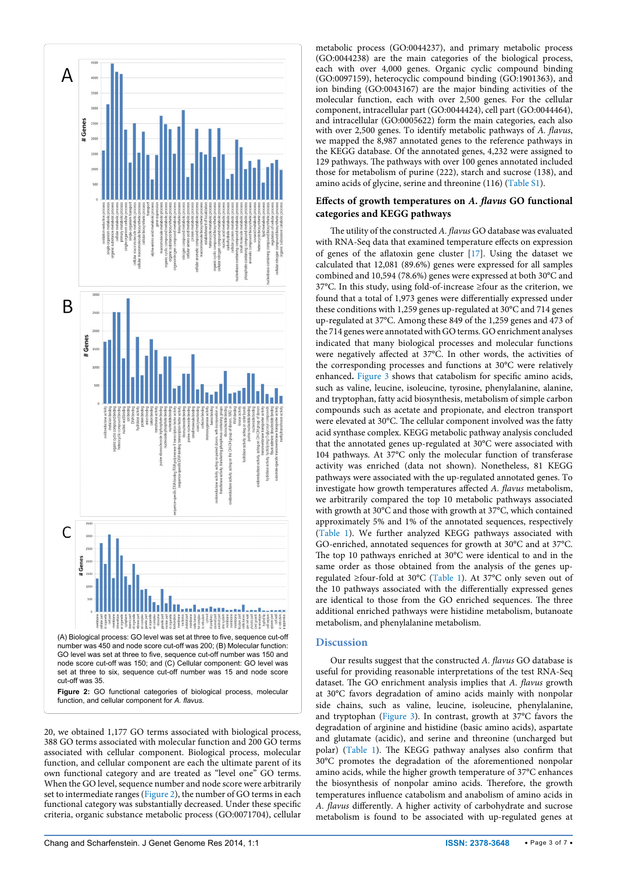<span id="page-2-0"></span>

**Figure 2:** GO functional categories of biological process, molecular function, and cellular component for *A. flavus.*

20, we obtained 1,177 GO terms associated with biological process, 388 GO terms associated with molecular function and 200 GO terms associated with cellular component. Biological process, molecular function, and cellular component are each the ultimate parent of its own functional category and are treated as "level one" GO terms. When the GO level, sequence number and node score were arbitrarily set to intermediate ranges [\(Figure 2\)](#page-2-0), the number of GO terms in each functional category was substantially decreased. Under these specific criteria, organic substance metabolic process (GO:0071704), cellular

metabolic process (GO:0044237), and primary metabolic process (GO:0044238) are the main categories of the biological process, each with over 4,000 genes. Organic cyclic compound binding (GO:0097159), heterocyclic compound binding (GO:1901363), and ion binding (GO:0043167) are the major binding activities of the molecular function, each with over 2,500 genes. For the cellular component, intracellular part (GO:0044424), cell part (GO:0044464), and intracellular (GO:0005622) form the main categories, each also with over 2,500 genes. To identify metabolic pathways of *A. flavus*, we mapped the 8,987 annotated genes to the reference pathways in the KEGG database. Of the annotated genes, 4,232 were assigned to 129 pathways. The pathways with over 100 genes annotated included those for metabolism of purine (222), starch and sucrose (138), and amino acids of glycine, serine and threonine (116) [\(Table S1](#page-5-4)).

## **Effects of growth temperatures on** *A. flavus* **GO functional categories and KEGG pathways**

The utility of the constructed *A. flavus* GO database was evaluated with RNA-Seq data that examined temperature effects on expression of genes of the aflatoxin gene cluster [[17](#page-4-16)]. Using the dataset we calculated that 12,081 (89.6%) genes were expressed for all samples combined and 10,594 (78.6%) genes were expressed at both 30°C and 37°C. In this study, using fold-of-increase ≥four as the criterion, we found that a total of 1,973 genes were differentially expressed under these conditions with 1,259 genes up-regulated at 30°C and 714 genes up-regulated at 37°C. Among these 849 of the 1,259 genes and 473 of the 714 genes were annotated with GO terms. GO enrichment analyses indicated that many biological processes and molecular functions were negatively affected at 37°C. In other words, the activities of the corresponding processes and functions at 30°C were relatively enhanced**.** [Figure 3](#page-3-0) shows that catabolism for specific amino acids, such as valine, leucine, isoleucine, tyrosine, phenylalanine, alanine, and tryptophan, fatty acid biosynthesis, metabolism of simple carbon compounds such as acetate and propionate, and electron transport were elevated at 30°C. The cellular component involved was the fatty acid synthase complex. KEGG metabolic pathway analysis concluded that the annotated genes up-regulated at 30°C were associated with 104 pathways. At 37°C only the molecular function of transferase activity was enriched (data not shown). Nonetheless, 81 KEGG pathways were associated with the up-regulated annotated genes. To investigate how growth temperatures affected *A. flavus* metabolism, we arbitrarily compared the top 10 metabolic pathways associated with growth at 30°C and those with growth at 37°C, which contained approximately 5% and 1% of the annotated sequences, respectively ([Table 1\)](#page-4-17). We further analyzed KEGG pathways associated with GO-enriched, annotated sequences for growth at 30°C and at 37°C. The top 10 pathways enriched at 30°C were identical to and in the same order as those obtained from the analysis of the genes upregulated ≥four-fold at 30°C [\(Table 1](#page-4-17)). At 37°C only seven out of the 10 pathways associated with the differentially expressed genes are identical to those from the GO enriched sequences. The three additional enriched pathways were histidine metabolism, butanoate metabolism, and phenylalanine metabolism.

# **Discussion**

Our results suggest that the constructed *A. flavus* GO database is useful for providing reasonable interpretations of the test RNA-Seq dataset. The GO enrichment analysis implies that *A. flavus* growth at 30°C favors degradation of amino acids mainly with nonpolar side chains, such as valine, leucine, isoleucine, phenylalanine, and tryptophan [\(Figure 3](#page-3-0)). In contrast, growth at 37°C favors the degradation of arginine and histidine (basic amino acids), aspartate and glutamate (acidic), and serine and threonine (uncharged but polar) [\(Table 1\)](#page-4-17). The KEGG pathway analyses also confirm that 30°C promotes the degradation of the aforementioned nonpolar amino acids, while the higher growth temperature of 37°C enhances the biosynthesis of nonpolar amino acids. Therefore, the growth temperatures influence catabolism and anabolism of amino acids in *A. flavus* differently. A higher activity of carbohydrate and sucrose metabolism is found to be associated with up-regulated genes at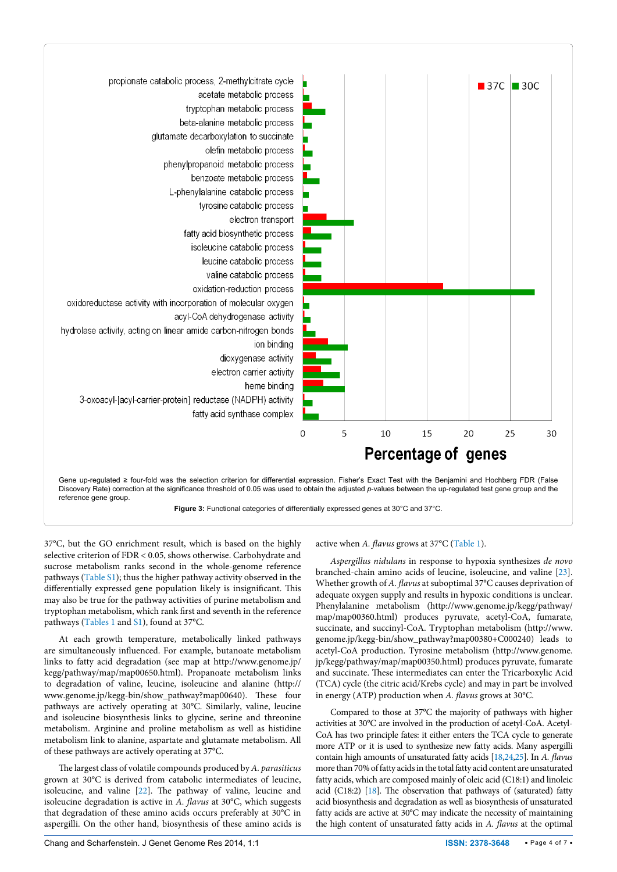



37°C, but the GO enrichment result, which is based on the highly selective criterion of FDR < 0.05, shows otherwise. Carbohydrate and sucrose metabolism ranks second in the whole-genome reference pathways [\(Table S1\)](#page-5-4); thus the higher pathway activity observed in the differentially expressed gene population likely is insignificant. This may also be true for the pathway activities of purine metabolism and tryptophan metabolism, which rank first and seventh in the reference pathways [\(Tables 1](#page-4-17) and [S1\)](#page-5-4), found at 37°C.

<span id="page-3-0"></span>٦

At each growth temperature, metabolically linked pathways are simultaneously influenced. For example, butanoate metabolism links to fatty acid degradation (see map at [http://www.genome.jp/](http://www.genome.jp/kegg/pathway/map/map00650.html) [kegg/pathway/map/map00650.html\)](http://www.genome.jp/kegg/pathway/map/map00650.html). Propanoate metabolism links to degradation of valine, leucine, isoleucine and alanine (http:// www.genome.jp/kegg-bin/show\_pathway?map00640). These four pathways are actively operating at 30°C. Similarly, valine, leucine and isoleucine biosynthesis links to glycine, serine and threonine metabolism. Arginine and proline metabolism as well as histidine metabolism link to alanine, aspartate and glutamate metabolism. All of these pathways are actively operating at 37°C.

The largest class of volatile compounds produced by *A. parasiticus* grown at 30°C is derived from catabolic intermediates of leucine, isoleucine, and valine [[22](#page-5-5)]. The pathway of valine, leucine and isoleucine degradation is active in *A. flavus* at 30°C, which suggests that degradation of these amino acids occurs preferably at 30°C in aspergilli. On the other hand, biosynthesis of these amino acids is

## active when *A. flavus* grows at 37°C ([Table 1](#page-4-17)).

*Aspergillus nidulans* in response to hypoxia synthesizes *de novo* branched-chain amino acids of leucine, isoleucine, and valine [[23\]](#page-5-6). Whether growth of *A. flavus* at suboptimal 37°C causes deprivation of adequate oxygen supply and results in hypoxic conditions is unclear. Phenylalanine metabolism [\(http://www.genome.jp/kegg/pathway/](http://www.genome.jp/kegg/pathway/map/map00360.html) [map/map00360.html\)](http://www.genome.jp/kegg/pathway/map/map00360.html) produces pyruvate, acetyl-CoA, fumarate, succinate, and succinyl-CoA. Tryptophan metabolism [\(http://www.](http://www.genome.jp/kegg-bin/show_pathway?map00380+C000240) [genome.jp/kegg-bin/show\\_pathway?map00380+C000240](http://www.genome.jp/kegg-bin/show_pathway?map00380+C000240)) leads to acetyl-CoA production. Tyrosine metabolism [\(http://www.genome.](http://www.genome.jp/kegg/pathway/map/map00350.html) [jp/kegg/pathway/map/map00350.html\)](http://www.genome.jp/kegg/pathway/map/map00350.html) produces pyruvate, fumarate and succinate. These intermediates can enter the Tricarboxylic Acid (TCA) cycle (the citric acid/Krebs cycle) and may in part be involved in energy (ATP) production when *A. flavus* grows at 30°C.

Compared to those at 37°C the majority of pathways with higher activities at 30°C are involved in the production of acetyl-CoA. Acetyl-CoA has two principle fates: it either enters the TCA cycle to generate more ATP or it is used to synthesize new fatty acids. Many aspergilli contain high amounts of unsaturated fatty acids [[18](#page-5-0)[,24](#page-5-7)[,25](#page-5-8)]. In *A. flavus* more than 70% of fatty acids in the total fatty acid content are unsaturated fatty acids, which are composed mainly of oleic acid (C18:1) and linoleic acid (C18:2) [\[18](#page-5-0)]. The observation that pathways of (saturated) fatty acid biosynthesis and degradation as well as biosynthesis of unsaturated fatty acids are active at 30°C may indicate the necessity of maintaining the high content of unsaturated fatty acids in *A. flavus* at the optimal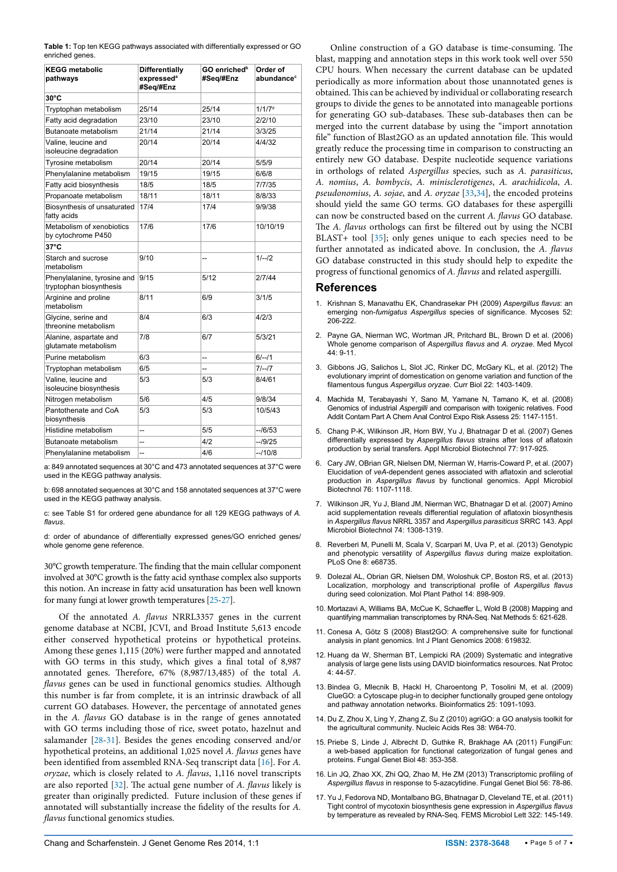| glutamate metabolism |     |    |  |
|----------------------|-----|----|--|
| Purine metabolism    | 6/3 | -- |  |

used in the KEGG pathway analysis. c: see Table S1 for ordered gene abundance for all 129 KEGG pathways of *A. flavus*.

b: 698 annotated sequences at 30°C and 158 annotated sequences at 37°C were

<span id="page-4-17"></span>**Table 1:** Top ten KEGG pathways associated with differentially expressed or GO

**GO enrichedb #Seq/#Enz**

20/14 20/14 4/4/32

17/4 17/4 9/9/38

9/10 -- 1/--/2

8/11 6/9 3/1/5

8/4 6/3 4/2/3

7/8 6/7 5/3/21

5/3 5/3 8/4/61

5/3 5/3 10/5/43

17/6 17/6 10/10/19

**Order of**  abundance<sup>c</sup>

**Differentially**  expressed<sup>®</sup> **#Seq/#Enz**

Tryptophan metabolism 25/14 25/14 25/14 1/1/7<sup>d</sup> Fatty acid degradation 23/10 23/10 2/2/10 Butanoate metabolism 21/14 21/14 3/3/25

Tyrosine metabolism 20/14 20/14 5/5/9 Phenylalanine metabolism 19/15 19/15 19/15 6/6/8 Fatty acid biosynthesis 18/5 18/5 18/5 7/7/35 Propanoate metabolism 18/11 18/11 8/8/33

Phenylalanine, tyrosine and  $\vert 9/15 \vert$   $\vert 5/12 \vert 2/7/44$ 

 $Tryptophan metabolism$   $6/5$   $7/-/7$ 

Nitrogen metabolism 5/6 4/5 9/8/34

Histidine metabolism  $\vert$ -- $\vert$  5/5  $\vert$ --/6/53 Butanoate metabolism  $\vert$ --<br> 4/2 --/9/25 Phenylalanine metabolism -- 4/6 --/10/8 a: 849 annotated sequences at 30°C and 473 annotated sequences at 37°C were

enriched genes. **KEGG metabolic pathways**

Valine, leucine and isoleucine degradation

fatty acids

**37°C**

Biosynthesis of unsaturated

Metabolism of xenobiotics by cytochrome P450

Starch and sucrose metabolism

Glycine, serine and threonine metabolism

Valine, leucine and isoleucine biosynthesis

Pantothenate and CoA biosynthesis

used in the KEGG pathway analysis.

Alanine, aspartate and

tryptophan biosynthesis Arginine and proline metabolism

**30°C**

d: order of abundance of differentially expressed genes/GO enriched genes/ whole genome gene reference.

30°C growth temperature. The finding that the main cellular component involved at 30°C growth is the fatty acid synthase complex also supports this notion. An increase in fatty acid unsaturation has been well known for many fungi at lower growth temperatures [\[25-](#page-5-8)[27\]](#page-5-9).

Of the annotated *A. flavus* NRRL3357 genes in the current genome database at NCBI, JCVI, and Broad Institute 5,613 encode either conserved hypothetical proteins or hypothetical proteins. Among these genes 1,115 (20%) were further mapped and annotated with GO terms in this study, which gives a final total of 8,987 annotated genes. Therefore, 67% (8,987/13,485) of the total *A. flavus* genes can be used in functional genomics studies. Although this number is far from complete, it is an intrinsic drawback of all current GO databases. However, the percentage of annotated genes in the *A. flavus* GO database is in the range of genes annotated with GO terms including those of rice, sweet potato, hazelnut and salamander [[28](#page-5-10)-[31](#page-5-11)]. Besides the genes encoding conserved and/or hypothetical proteins, an additional 1,025 novel *A. flavus* genes have been identified from assembled RNA-Seq transcript data [[16](#page-4-15)]. For *A. oryzae*, which is closely related to *A. flavus*, 1,116 novel transcripts are also reported [\[32\]](#page-5-12). The actual gene number of *A. flavus* likely is greater than originally predicted. Future inclusion of these genes if annotated will substantially increase the fidelity of the results for *A. flavus* functional genomics studies.

Online construction of a GO database is time-consuming. The blast, mapping and annotation steps in this work took well over 550 CPU hours. When necessary the current database can be updated periodically as more information about those unannotated genes is obtained. This can be achieved by individual or collaborating research groups to divide the genes to be annotated into manageable portions for generating GO sub-databases. These sub-databases then can be merged into the current database by using the "import annotation file" function of Blast2GO as an updated annotation file. This would greatly reduce the processing time in comparison to constructing an entirely new GO database. Despite nucleotide sequence variations in orthologs of related *Aspergillus* species, such as *A. parasiticus*, *A. nomius*, *A. bombycis*, *A. minisclerotigenes*, *A. arachidicola*, *A. pseudonomius*, *A. sojae*, and *A. oryzae* [[33,](#page-5-13)[34](#page-5-14)], the encoded proteins should yield the same GO terms. GO databases for these aspergilli can now be constructed based on the current *A. flavus* GO database. The *A. flavus* orthologs can first be filtered out by using the NCBI BLAST+ tool [\[35\]](#page-5-15); only genes unique to each species need to be further annotated as indicated above. In conclusion, the *A. flavus* GO database constructed in this study should help to expedite the progress of functional genomics of *A. flavus* and related aspergilli.

#### **References**

- <span id="page-4-0"></span>1. [Krishnan S, Manavathu EK, Chandrasekar PH \(2009\)](http://www.ncbi.nlm.nih.gov/pubmed/19207851) *Aspergillus flavus*: an emerging non-*fumigatus Aspergillus* [species of significance. Mycoses 52:](http://www.ncbi.nlm.nih.gov/pubmed/19207851)  [206-222.](http://www.ncbi.nlm.nih.gov/pubmed/19207851)
- <span id="page-4-1"></span>2. Payne GA, Nierman WC, Wortman JR, Pritchard BL, Brown D et al. (2006). [Whole genome comparison of](http://informahealthcare.com/doi/abs/10.1080/13693780600835716) *Aspergillus flavus* and *A. oryzae*. Med Mycol [44: 9-11.](http://informahealthcare.com/doi/abs/10.1080/13693780600835716)
- <span id="page-4-2"></span>3. [Gibbons JG, Salichos L, Slot JC, Rinker DC, McGary KL, et al. \(2012\) The](http://www.ncbi.nlm.nih.gov/pubmed/22795693)  [evolutionary imprint of domestication on genome variation and function of the](http://www.ncbi.nlm.nih.gov/pubmed/22795693)  filamentous fungus *Aspergillus oryzae*[. Curr Biol 22: 1403-1409.](http://www.ncbi.nlm.nih.gov/pubmed/22795693)
- <span id="page-4-3"></span>4. [Machida M, Terabayashi Y, Sano M, Yamane N, Tamano K, et al. \(2008\)](http://www.ncbi.nlm.nih.gov/pubmed/18798040)  Genomics of industrial *Aspergilli* [and comparison with toxigenic relatives. Food](http://www.ncbi.nlm.nih.gov/pubmed/18798040)  [Addit Contam Part A Chem Anal Control Expo Risk Assess 25: 1147-1151.](http://www.ncbi.nlm.nih.gov/pubmed/18798040)
- <span id="page-4-4"></span>5. [Chang P-K, Wilkinson JR, Horn BW, Yu J, Bhatnagar D et al. \(2007\) Genes](http://www.ncbi.nlm.nih.gov/pubmed/17955191)  differentially expressed by *Aspergillus flavus* [strains after loss of aflatoxin](http://www.ncbi.nlm.nih.gov/pubmed/17955191)  [production by serial transfers. Appl Microbiol Biotechnol 77: 917-925.](http://www.ncbi.nlm.nih.gov/pubmed/17955191)
- <span id="page-4-5"></span>6. [Cary JW, OBrian GR, Nielsen DM, Nierman W, Harris-Coward P, et al. \(2007\)](http://www.ncbi.nlm.nih.gov/pubmed/17646985)  Elucidation of *veA*[-dependent genes associated with aflatoxin and sclerotial](http://www.ncbi.nlm.nih.gov/pubmed/17646985)  production in *Aspergillus flavus* [by functional genomics. Appl Microbiol](http://www.ncbi.nlm.nih.gov/pubmed/17646985)  [Biotechnol 76: 1107-1118.](http://www.ncbi.nlm.nih.gov/pubmed/17646985)
- <span id="page-4-6"></span>7. [Wilkinson JR, Yu J, Bland JM, Nierman WC, Bhatnagar D et al. \(2007\) Amino](http://www.ncbi.nlm.nih.gov/pubmed/17216451)  [acid supplementation reveals differential regulation of aflatoxin biosynthesis](http://www.ncbi.nlm.nih.gov/pubmed/17216451)  in *Aspergillus flavus* NRRL 3357 and *[Aspergillus parasiticus](http://www.ncbi.nlm.nih.gov/pubmed/17216451)* SRRC 143. Appl [Microbiol Biotechnol 74: 1308-1319.](http://www.ncbi.nlm.nih.gov/pubmed/17216451)
- <span id="page-4-7"></span>8. [Reverberi M, Punelli M, Scala V, Scarpari M, Uva P, et al. \(2013\) Genotypic](http://www.ncbi.nlm.nih.gov/pubmed/23894339)  [and phenotypic versatility of](http://www.ncbi.nlm.nih.gov/pubmed/23894339) *Aspergillus flavus* during maize exploitation. [PLoS One 8: e68735.](http://www.ncbi.nlm.nih.gov/pubmed/23894339)
- <span id="page-4-8"></span>9. [Dolezal AL, Obrian GR, Nielsen DM, Woloshuk CP, Boston RS, et al. \(2013\)](http://www.ncbi.nlm.nih.gov/pubmed/23834374)  [Localization, morphology and transcriptional profile of](http://www.ncbi.nlm.nih.gov/pubmed/23834374) *Aspergillus flavus* [during seed colonization. Mol Plant Pathol 14: 898-909.](http://www.ncbi.nlm.nih.gov/pubmed/23834374)
- <span id="page-4-9"></span>10. [Mortazavi A, Williams BA, McCue K, Schaeffer L, Wold B \(2008\) Mapping and](http://www.ncbi.nlm.nih.gov/pubmed/18516045)  [quantifying mammalian transcriptomes by RNA-Seq. Nat Methods 5: 621-628.](http://www.ncbi.nlm.nih.gov/pubmed/18516045)
- <span id="page-4-10"></span>11. [Conesa A, Götz S \(2008\) Blast2GO: A comprehensive suite for functional](http://www.ncbi.nlm.nih.gov/pubmed/18483572)  [analysis in plant genomics. Int J Plant Genomics 2008: 619832.](http://www.ncbi.nlm.nih.gov/pubmed/18483572)
- <span id="page-4-11"></span>12. [Huang da W, Sherman BT, Lempicki RA \(2009\) Systematic and integrative](http://www.ncbi.nlm.nih.gov/pubmed/19131956)  [analysis of large gene lists using DAVID bioinformatics resources. Nat Protoc](http://www.ncbi.nlm.nih.gov/pubmed/19131956)  [4: 44-57.](http://www.ncbi.nlm.nih.gov/pubmed/19131956)
- <span id="page-4-12"></span>13. [Bindea G, Mlecnik B, Hackl H, Charoentong P, Tosolini M, et al. \(2009\)](http://www.ncbi.nlm.nih.gov/pubmed/19237447)  [ClueGO: a Cytoscape plug-in to decipher functionally grouped gene ontology](http://www.ncbi.nlm.nih.gov/pubmed/19237447)  [and pathway annotation networks. Bioinformatics 25: 1091-1093.](http://www.ncbi.nlm.nih.gov/pubmed/19237447)
- <span id="page-4-13"></span>14. [Du Z, Zhou X, Ling Y, Zhang Z, Su Z \(2010\) agriGO: a GO analysis toolkit for](http://www.ncbi.nlm.nih.gov/pubmed/20435677)  [the agricultural community. Nucleic Acids Res 38: W64-70.](http://www.ncbi.nlm.nih.gov/pubmed/20435677)
- <span id="page-4-14"></span>15. [Priebe S, Linde J, Albrecht D, Guthke R, Brakhage AA \(2011\) FungiFun:](http://www.ncbi.nlm.nih.gov/pubmed/21073976)  [a web-based application for functional categorization of fungal genes and](http://www.ncbi.nlm.nih.gov/pubmed/21073976)  [proteins. Fungal Genet Biol 48: 353-358.](http://www.ncbi.nlm.nih.gov/pubmed/21073976)
- <span id="page-4-15"></span>16. [Lin JQ, Zhao XX, Zhi QQ, Zhao M, He ZM \(2013\) Transcriptomic profiling of](http://www.ncbi.nlm.nih.gov/pubmed/23644151)  *Aspergillus flavus* [in response to 5-azacytidine. Fungal Genet Biol 56: 78-86.](http://www.ncbi.nlm.nih.gov/pubmed/23644151)
- <span id="page-4-16"></span>17. [Yu J, Fedorova ND, Montalbano BG, Bhatnagar D, Cleveland TE, et al. \(2011\)](http://www.ncbi.nlm.nih.gov/pubmed/21707733)  [Tight control of mycotoxin biosynthesis gene expression in](http://www.ncbi.nlm.nih.gov/pubmed/21707733) *Aspergillus flavus* [by temperature as revealed by RNA-Seq. FEMS Microbiol Lett 322: 145-149.](http://www.ncbi.nlm.nih.gov/pubmed/21707733)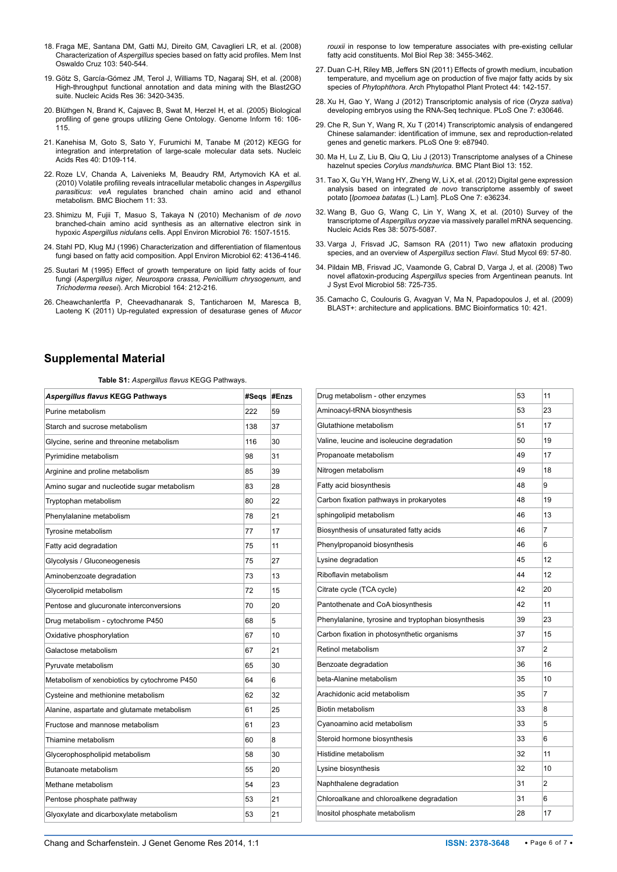- <span id="page-5-0"></span>18. [Fraga ME, Santana DM, Gatti MJ, Direito GM, Cavaglieri LR, et al. \(2008\)](http://www.ncbi.nlm.nih.gov/pubmed/18949322)  Characterization of *Aspergillus* [species based on fatty acid profiles. Mem Inst](http://www.ncbi.nlm.nih.gov/pubmed/18949322)  [Oswaldo Cruz 103: 540-544.](http://www.ncbi.nlm.nih.gov/pubmed/18949322)
- <span id="page-5-1"></span>19. [Götz S, García-Gómez JM, Terol J, Williams TD, Nagaraj SH, et al. \(2008\)](http://www.ncbi.nlm.nih.gov/pubmed/18445632)  [High-throughput functional annotation and data mining with the Blast2GO](http://www.ncbi.nlm.nih.gov/pubmed/18445632)  [suite. Nucleic Acids Res 36: 3420-3435.](http://www.ncbi.nlm.nih.gov/pubmed/18445632)
- <span id="page-5-2"></span>20. [Blüthgen N, Brand K, Cajavec B, Swat M, Herzel H, et al. \(2005\) Biological](http://www.ncbi.nlm.nih.gov/pubmed/16362912)  [profiling of gene groups utilizing Gene Ontology. Genome Inform 16: 106-](http://www.ncbi.nlm.nih.gov/pubmed/16362912) [115.](http://www.ncbi.nlm.nih.gov/pubmed/16362912)
- <span id="page-5-3"></span>21. [Kanehisa M, Goto S, Sato Y, Furumichi M, Tanabe M \(2012\) KEGG for](http://www.ncbi.nlm.nih.gov/pubmed/22080510)  [integration and interpretation of large-scale molecular data sets. Nucleic](http://www.ncbi.nlm.nih.gov/pubmed/22080510)  [Acids Res 40: D109-114.](http://www.ncbi.nlm.nih.gov/pubmed/22080510)
- <span id="page-5-5"></span>22. [Roze LV, Chanda A, Laivenieks M, Beaudry RM, Artymovich KA et al.](http://www.biomedcentral.com/1471-2091/11/33)  [\(2010\) Volatile profiling reveals intracellular metabolic changes in](http://www.biomedcentral.com/1471-2091/11/33) *Aspergillus parasiticus*: *veA* [regulates branched chain amino acid and ethanol](http://www.biomedcentral.com/1471-2091/11/33)  [metabolism. BMC Biochem 11: 33.](http://www.biomedcentral.com/1471-2091/11/33)
- <span id="page-5-6"></span>23. [Shimizu M, Fujii T, Masuo S, Takaya N \(2010\) Mechanism of](http://www.ncbi.nlm.nih.gov/pubmed/20081005) *de novo* [branched-chain amino acid synthesis as an alternative electron sink in](http://www.ncbi.nlm.nih.gov/pubmed/20081005)  hypoxic *Aspergillus nidulans* [cells. Appl Environ Microbiol 76: 1507-1515.](http://www.ncbi.nlm.nih.gov/pubmed/20081005)
- <span id="page-5-7"></span>24. [Stahl PD, Klug MJ \(1996\) Characterization and differentiation of filamentous](http://www.ncbi.nlm.nih.gov/pubmed/16535442)  [fungi based on fatty acid composition. Appl Environ Microbiol 62: 4136-4146.](http://www.ncbi.nlm.nih.gov/pubmed/16535442)
- <span id="page-5-8"></span>25. [Suutari M \(1995\) Effect of growth temperature on lipid fatty acids of four](http://link.springer.com/article/10.1007%2FBF02529973)  fungi (*[Aspergillus niger, Neurospora crassa, Penicillium chrysogenum,](http://link.springer.com/article/10.1007%2FBF02529973)* and *Trichoderma reesei*[\). Arch Microbiol 164: 212-216.](http://link.springer.com/article/10.1007%2FBF02529973)
- 26. [Cheawchanlertfa P, Cheevadhanarak S, Tanticharoen M, Maresca B,](http://www.ncbi.nlm.nih.gov/pubmed/21104442)  [Laoteng K \(2011\) Up-regulated expression of desaturase genes of](http://www.ncbi.nlm.nih.gov/pubmed/21104442) *Mucor*

*rouxii* [in response to low temperature associates with pre-existing cellular](http://www.ncbi.nlm.nih.gov/pubmed/21104442)  [fatty acid constituents. Mol Biol Rep 38: 3455-3462.](http://www.ncbi.nlm.nih.gov/pubmed/21104442)

- <span id="page-5-9"></span>27. [Duan C-H, Riley MB, Jeffers SN \(2011\) Effects of growth medium, incubation](http://www.tandfonline.com/doi/abs/10.1080/03235400902952145#preview)  temperature, and mycelium age on [production of five major fatty acids by six](http://www.tandfonline.com/doi/abs/10.1080/03235400902952145#preview)  species of *Phytophthora*[. Arch Phytopathol Plant Protect 44: 142-157.](http://www.tandfonline.com/doi/abs/10.1080/03235400902952145#preview)
- <span id="page-5-10"></span>28. [Xu H, Gao Y, Wang J \(2012\) Transcriptomic analysis of rice \(](http://www.ncbi.nlm.nih.gov/pubmed/22347394)*Oryza sativa*) [developing embryos using the RNA-Seq technique. PLoS One 7: e30646.](http://www.ncbi.nlm.nih.gov/pubmed/22347394)
- 29. [Che R, Sun Y, Wang R, Xu T \(2014\) Transcriptomic analysis of endangered](http://www.ncbi.nlm.nih.gov/pubmed/24498226)  [Chinese salamander: identification of immune, sex and reproduction-related](http://www.ncbi.nlm.nih.gov/pubmed/24498226)  [genes and genetic markers. PLoS One 9: e87940.](http://www.ncbi.nlm.nih.gov/pubmed/24498226)
- 30. [Ma H, Lu Z, Liu B, Qiu Q, Liu J \(2013\) Transcriptome analyses of a Chinese](http://www.ncbi.nlm.nih.gov/pubmed/24093758)  hazelnut species *Corylus mandshurica*[. BMC Plant Biol 13: 152.](http://www.ncbi.nlm.nih.gov/pubmed/24093758)
- <span id="page-5-11"></span>31. [Tao X, Gu YH, Wang HY, Zheng W, Li X, et al. \(2012\) Digital gene expression](http://www.ncbi.nlm.nih.gov/pubmed/22558397)  analysis based on integrated *de novo* [transcriptome assembly of sweet](http://www.ncbi.nlm.nih.gov/pubmed/22558397)  potato [*Ipomoea batatas* [\(L.\) Lam\]. PLoS One 7: e36234.](http://www.ncbi.nlm.nih.gov/pubmed/22558397)
- <span id="page-5-12"></span>32. [Wang B, Guo G, Wang C, Lin Y, Wang X, et al. \(2010\) Survey of the](http://www.ncbi.nlm.nih.gov/pubmed/20392818)  transcriptome of *Aspergillus oryzae* [via massively parallel mRNA sequencing.](http://www.ncbi.nlm.nih.gov/pubmed/20392818)  [Nucleic Acids Res 38: 5075-5087.](http://www.ncbi.nlm.nih.gov/pubmed/20392818)
- <span id="page-5-13"></span>33. [Varga J, Frisvad JC, Samson RA \(2011\) Two new aflatoxin producing](http://www.ncbi.nlm.nih.gov/pubmed/21892243)  [species, and an overview of](http://www.ncbi.nlm.nih.gov/pubmed/21892243) *Aspergillus* section *Flavi*. Stud Mycol 69: 57-80.
- <span id="page-5-14"></span>34. [Pildain MB, Frisvad JC, Vaamonde G, Cabral D, Varga J, et al. \(2008\) Two](http://www.ncbi.nlm.nih.gov/pubmed/18319485)  novel aflatoxin-producing *Aspergillus* [species from Argentinean peanuts. Int](http://www.ncbi.nlm.nih.gov/pubmed/18319485)  [J Syst Evol Microbiol 58: 725-735.](http://www.ncbi.nlm.nih.gov/pubmed/18319485)
- <span id="page-5-15"></span>35. [Camacho C, Coulouris G, Avagyan V, Ma N, Papadopoulos J, et al. \(2009\)](http://www.ncbi.nlm.nih.gov/pubmed/20003500)  [BLAST+: architecture and applications. BMC Bioinformatics 10: 421.](http://www.ncbi.nlm.nih.gov/pubmed/20003500)

# **Supplemental Material**

<span id="page-5-4"></span>**Table S1:** *Aspergillus flavus* KEGG Pathways.

| 222<br>59<br>138<br>37<br>116<br>30<br>98<br>31<br>85<br>39<br>83<br>28<br>22<br>80<br>21<br>78<br>17<br>77<br>75<br>11<br>75<br>27<br>73<br>13<br>72<br>15<br>70<br>20<br>68<br>5<br>10<br>67<br>21<br>67<br>65<br>30<br>64<br>6<br>62<br>32<br>61<br>25<br>61<br>23<br>60<br>8<br>58<br>30<br>55<br>20<br>54<br>23<br>21<br>53<br>21<br>53 | Aspergillus flavus KEGG Pathways             | #Seqs | #Enzs |
|----------------------------------------------------------------------------------------------------------------------------------------------------------------------------------------------------------------------------------------------------------------------------------------------------------------------------------------------|----------------------------------------------|-------|-------|
|                                                                                                                                                                                                                                                                                                                                              | Purine metabolism                            |       |       |
|                                                                                                                                                                                                                                                                                                                                              | Starch and sucrose metabolism                |       |       |
|                                                                                                                                                                                                                                                                                                                                              | Glycine, serine and threonine metabolism     |       |       |
|                                                                                                                                                                                                                                                                                                                                              | Pyrimidine metabolism                        |       |       |
|                                                                                                                                                                                                                                                                                                                                              | Arginine and proline metabolism              |       |       |
|                                                                                                                                                                                                                                                                                                                                              | Amino sugar and nucleotide sugar metabolism  |       |       |
|                                                                                                                                                                                                                                                                                                                                              | Tryptophan metabolism                        |       |       |
|                                                                                                                                                                                                                                                                                                                                              | Phenylalanine metabolism                     |       |       |
|                                                                                                                                                                                                                                                                                                                                              | Tyrosine metabolism                          |       |       |
|                                                                                                                                                                                                                                                                                                                                              | Fatty acid degradation                       |       |       |
|                                                                                                                                                                                                                                                                                                                                              | Glycolysis / Gluconeogenesis                 |       |       |
|                                                                                                                                                                                                                                                                                                                                              | Aminobenzoate degradation                    |       |       |
|                                                                                                                                                                                                                                                                                                                                              | Glycerolipid metabolism                      |       |       |
|                                                                                                                                                                                                                                                                                                                                              | Pentose and glucuronate interconversions     |       |       |
|                                                                                                                                                                                                                                                                                                                                              | Drug metabolism - cytochrome P450            |       |       |
|                                                                                                                                                                                                                                                                                                                                              | Oxidative phosphorylation                    |       |       |
|                                                                                                                                                                                                                                                                                                                                              | Galactose metabolism                         |       |       |
|                                                                                                                                                                                                                                                                                                                                              | Pyruvate metabolism                          |       |       |
|                                                                                                                                                                                                                                                                                                                                              | Metabolism of xenobiotics by cytochrome P450 |       |       |
|                                                                                                                                                                                                                                                                                                                                              | Cysteine and methionine metabolism           |       |       |
|                                                                                                                                                                                                                                                                                                                                              | Alanine, aspartate and glutamate metabolism  |       |       |
|                                                                                                                                                                                                                                                                                                                                              | Fructose and mannose metabolism              |       |       |
|                                                                                                                                                                                                                                                                                                                                              | Thiamine metabolism                          |       |       |
|                                                                                                                                                                                                                                                                                                                                              | Glycerophospholipid metabolism               |       |       |
|                                                                                                                                                                                                                                                                                                                                              | Butanoate metabolism                         |       |       |
|                                                                                                                                                                                                                                                                                                                                              | Methane metabolism                           |       |       |
|                                                                                                                                                                                                                                                                                                                                              | Pentose phosphate pathway                    |       |       |
|                                                                                                                                                                                                                                                                                                                                              | Glyoxylate and dicarboxylate metabolism      |       |       |

| Drug metabolism - other enzymes                     | 53 | 11 |
|-----------------------------------------------------|----|----|
| Aminoacyl-tRNA biosynthesis                         | 53 | 23 |
| Glutathione metabolism                              | 51 | 17 |
| Valine, leucine and isoleucine degradation          | 50 | 19 |
| Propanoate metabolism                               | 49 | 17 |
| Nitrogen metabolism                                 | 49 | 18 |
| Fatty acid biosynthesis                             | 48 | 9  |
| Carbon fixation pathways in prokaryotes             | 48 | 19 |
| sphingolipid metabolism                             | 46 | 13 |
| Biosynthesis of unsaturated fatty acids             | 46 | 7  |
| Phenylpropanoid biosynthesis                        | 46 | 6  |
| Lysine degradation                                  | 45 | 12 |
| Riboflavin metabolism                               | 44 | 12 |
| Citrate cycle (TCA cycle)                           | 42 | 20 |
| Pantothenate and CoA biosynthesis                   | 42 | 11 |
| Phenylalanine, tyrosine and tryptophan biosynthesis | 39 | 23 |
| Carbon fixation in photosynthetic organisms         | 37 | 15 |
| Retinol metabolism                                  | 37 | 2  |
| Benzoate degradation                                | 36 | 16 |
| beta-Alanine metabolism                             | 35 | 10 |
| Arachidonic acid metabolism                         | 35 | 7  |
| Biotin metabolism                                   | 33 | 8  |
| Cyanoamino acid metabolism                          | 33 | 5  |
| Steroid hormone biosynthesis                        | 33 | 6  |
| Histidine metabolism                                | 32 | 11 |
| Lysine biosynthesis                                 | 32 | 10 |
| Naphthalene degradation                             | 31 | 2  |
| Chloroalkane and chloroalkene degradation           | 31 | 6  |
| Inositol phosphate metabolism                       | 28 | 17 |
|                                                     |    |    |